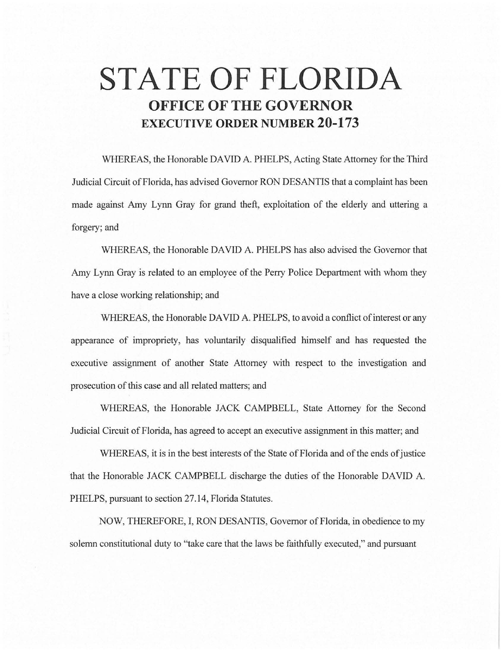## **STATE OF FLORIDA OFFICE OF THE GOVERNOR EXECUTIVE ORDER NUMBER 20-173**

WHEREAS, the Honorable DA YID A. PHELPS, Acting State Attorney for the Third Judicial Circuit of Florida, has advised Governor RON DESANTIS that a complaint has been made against Amy Lynn Gray for grand theft, exploitation of the elderly and uttering a forgery; and

WHEREAS, the Honorable DAVID A. PHELPS has also advised the Governor that Amy Lynn Gray is related to an employee of the Perry Police Department with whom they have a close working relationship; and

WHEREAS, the Honorable DAVID A. PHELPS, to avoid a conflict of interest or any appearance of impropriety, has voluntarily disqualified himself and has requested the executive assignment of another State Attorney with respect to the investigation and prosecution of this case and all related matters; and

WHEREAS, the Honorable JACK CAMPBELL, State Attorney for the Second Judicial Circuit of Florida, has agreed to accept an executive assignment in this matter; and

WHEREAS, it is in the best interests of the State of Florida and of the ends of justice that the Honorable JACK CAMPBELL discharge the duties of the Honorable DAVID A. PHELPS, pursuant to section 27.14, Florida Statutes.

NOW, THEREFORE, I, RON DESANTIS, Governor of Florida, in obedience to my solemn constitutional duty to ''take care that the laws be faithfully executed," and pursuant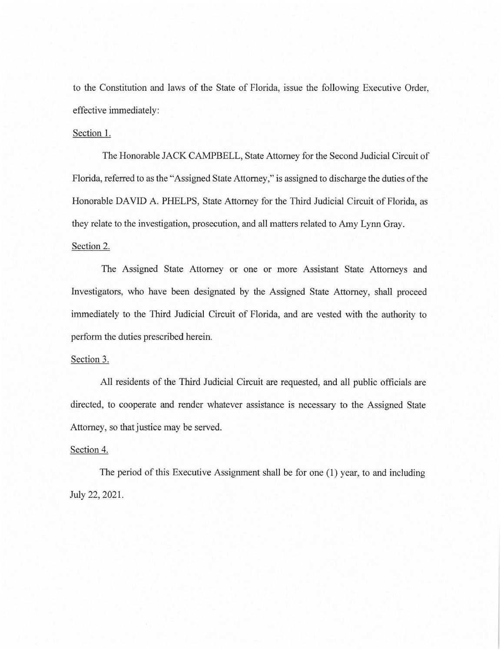to the Constitution and laws of the State of Florida, issue the following Executive Order, effective immediately:

## Section 1.

The Honorable JACK CAMPBELL, State Attorney for the Second Judicial Circuit of Florida, referred to as the "Assigned State Attorney," is assigned to discharge the duties of the Honorable DAVID A. PHELPS, State Attorney for the Third Judicial Circuit of Florida, as they relate to the investigation, prosecution, and all matters related to Amy Lynn Gray. Section 2.

The Assigned State Attorney or one or more Assistant State Attorneys and Investigators, who have been designated by the Assigned State Attorney, shall proceed immediately to the Third Judicial Circuit of Florida, and are vested with the authority to perform the duties prescribed herein.

## Section 3.

All residents of the Third Judicial Circuit are requested, and all public officials are directed, to cooperate and render whatever assistance is necessary to the Assigned State Attorney, so that justice may be served.

## Section 4.

The period of this Executive Assignment shall be for one (1) year, to and including July 22, 2021.